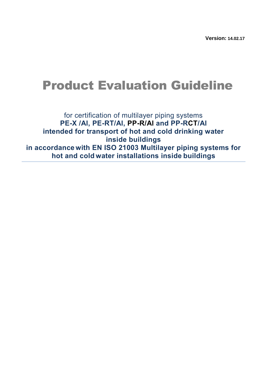**Version: 14.02.17**

# Product Evaluation Guideline

for certification of multilayer piping systems **PE-X /Al, PE-RT/Al, PP-R/Al and PP-RCT/Al intended for transport of hot and cold drinking water inside buildings in accordance with EN ISO 21003 Multilayer piping systems for hot and cold water installations inside buildings**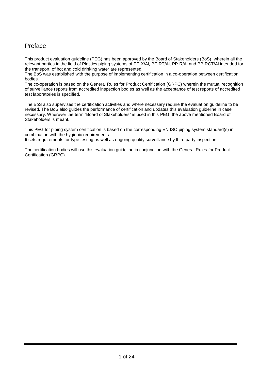### <span id="page-2-0"></span>**Preface**

This product evaluation guideline (PEG) has been approved by the Board of Stakeholders (BoS), wherein all the relevant parties in the field of Plastics piping systems of PE-X/Al, PE-RT/Al, PP-R/Al and PP-RCT/Al intended for the transport of hot and cold drinking water are represented.

The BoS was established with the purpose of implementing certification in a co-operation between certification bodies.

The co-operation is based on the General Rules for Product Certification (GRPC) wherein the mutual recognition of surveillance reports from accredited inspection bodies as well as the acceptance of test reports of accredited test laboratories is specified.

The BoS also supervises the certification activities and where necessary require the evaluation guideline to be revised. The BoS also guides the performance of certification and updates this evaluation guideline in case necessary. Wherever the term "Board of Stakeholders" is used in this PEG, the above mentioned Board of Stakeholders is meant.

This PEG for piping system certification is based on the corresponding EN ISO piping system standard(s) in combination with the hygienic requirements.

It sets requirements for type testing as well as ongoing quality surveillance by third party inspection.

The certification bodies will use this evaluation guideline in conjunction with the General Rules for Product Certification (GRPC).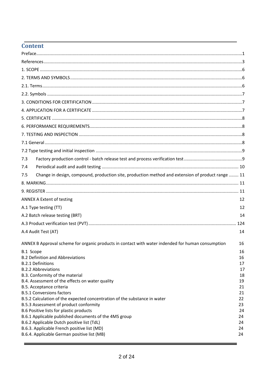# Content

| 7.3       |                                                                                                   |          |
|-----------|---------------------------------------------------------------------------------------------------|----------|
| 7.4       |                                                                                                   |          |
| 7.5       | Change in design, compound, production site, production method and extension of product range  11 |          |
|           |                                                                                                   |          |
|           |                                                                                                   |          |
|           | <b>ANNEX A Extent of testing</b>                                                                  | 12       |
|           | A.1 Type testing (TT)                                                                             | 12       |
|           | A.2 Batch release testing (BRT)                                                                   | 14       |
|           |                                                                                                   |          |
|           | A.4 Audit Test (AT)                                                                               | 14       |
|           | ANNEX B Approval scheme for organic products in contact with water indended for human consumption | 16       |
| B.1 Scope |                                                                                                   | 16       |
|           | <b>B.2 Definition and Abbreviations</b>                                                           | 16       |
|           | <b>B.2.1 Definitions</b>                                                                          | 17       |
|           | <b>B.2.2 Abbreviations</b>                                                                        | 17       |
|           | B.3. Conformity of the material<br>B.4. Assessment of the effects on water quality                | 18<br>19 |
|           | B.5. Acceptance criteria                                                                          | 21       |
|           | <b>B.5.1 Conversions factors</b>                                                                  | 21       |
|           | B.5.2 Calculation of the expected concentration of the substance in water                         | 22       |
|           | B.5.3 Assessment of product conformity                                                            | 23       |
|           | B.6 Positive lists for plastic products                                                           | 24       |
|           | B.6.1 Applicable published documents of the 4MS group                                             | 24       |
|           | B.6.2 Applicable Dutch positive list (TdL)                                                        | 24       |
|           | B.6.3. Applicable French positive list (MD)<br>B.6.4. Applicable German positive list (MB)        | 24<br>24 |
|           |                                                                                                   |          |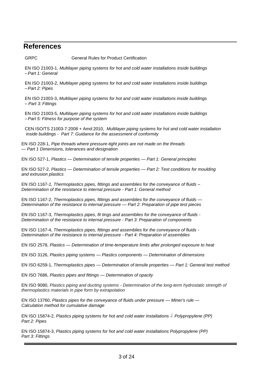# <span id="page-4-0"></span>**References**

GRPC General Rules for Product Certification

EN ISO 21003-1. *Multilayer piping systems for hot and cold water installations inside buildings –Part 1: General*

EN ISO 21003-2, *Multilayer piping systems for hot and cold water installations inside buildings –Part 2: Pipes*

EN ISO 21003-3, *Multilayer piping systems for hot and cold water installations inside buildings – Part 3: Fittings*

EN ISO 21003-5, *Multilayer piping systems for hot and cold water installations inside buildings –Part 5: Fitness for purpose of the system*

CEN ISO/TS 21003-7:2008 + Amd:2010, *Multilayer piping systems for hot and cold water installation inside buildings - Part 7: Guidance for the assessment of conformity*

EN ISO 228-1, *Pipe threads where pressure-tight joints are not made on the threads — Part 1 Dimensions, tolerances and designation*

EN ISO 527-1, *Plastics — Determination of tensile properties — Part 1: General principles*

EN ISO 527-2, *Plastics — Determination of tensile properties — Part 2: Test conditions for moulding and extrusion plastics*

EN ISO 1167-*1, Thermoplastics pipes, fittings and assemblies for the conveyance of fluids – Determination of the resistance to internal pressure - Part 1: General method*

EN ISO 1167-2, *Thermoplastics pipes, fittings and assemblies for the conveyance of fluids — Determination of the resistance to internal pressure — Part 2: Preparation of pipe test pieces*

EN ISO 1167-3, *Thermoplastics pipes, fit tings and assemblies for the conveyance of fluids - Determination of the resistance to internal pressure - Part 3: Preparation of components*

EN ISO 1167-4, *Thermoplastics pipes, fittings and assemblies for the conveyance of fluids - Determination of the resistance to internal pressure - Part 4: Preparation of assemblies*

EN ISO 2578, *Plastics — Determination of time-temperature limits after prolonged exposure to heat*

EN ISO 3126, *Plastics piping systems — Plastics components — Determination of dimensions*

EN ISO 6259-1, *Thermoplastics pipes — Determination of tensile properties — Part 1: General test method* 

EN ISO 7686, *Plastics pipes and fittings — Determination of opacity*

EN ISO 9080, *Plastics piping and ducting systems - Determination of the long-term hydrostatic strength of thermoplastics materials in pipe form by extrapolation*

EN ISO 13760, *Plastics pipes for the conveyance of fluids under pressure — Miner's rule — Calculation method for cumulative damage*

EN ISO 15874-2, *Plastics piping systems for hot and cold water installations - Polypropylene (PP) Part 2: Pipes*

EN ISO 15874-3, *Plastics piping systems for hot and cold water installations Polypropylene (PP) Part 3: Fittings*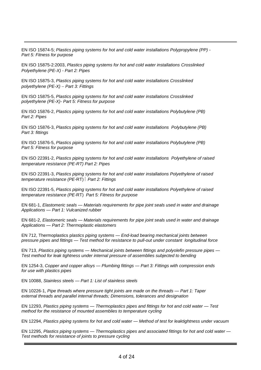EN ISO 15874-5; *Plastics piping systems for hot and cold water installations Polypropylene (PP) - Part 5: Fitness for purpose*

EN ISO 15875-2:2003, *Plastics piping systems for hot and cold water installations Crosslinked Polyethylene (PE-X) - Part 2: Pipes*

EN ISO 15875-3, *Plastics piping systems for hot and cold water installations Crosslinked polyethylene (PE-X) Part 3: Fittings*

EN ISO 15875-5, *Plastics piping systems for hot and cold water installations Crosslinked polyethylene (PE-X)- Part 5: Fitness for purpose*

EN ISO 15876-2, *Plastics piping systems for hot and cold water installations Polybutylene (PB) Part 2: Pipes*

EN ISO 15876-3, *Plastics piping systems for hot and cold water installations Polybutylene (PB) Part 3: fittings*

EN ISO 15876-5, *Plastics piping systems for hot and cold water installations Polybutylene (PB) Part 5: Fitness for purpose*

EN ISO 22391-2, *Plastics piping systems for hot and cold water installations Polyethylene of raised temperature resistance (PE-RT) Part 2: Pipes*

EN ISO 22391-3, *Plastics piping systems for hot and cold water installations Polyethylene of raised temperature resistance (PE-*RT) *Part 2: Fittings*

EN ISO 22391-5, *Plastics piping systems for hot and cold water installations Polyethylene of raised temperature resistance (PE-*RT) *Part 5: Fitness for purpose*

EN 681-1, *Elastomeric seals — Materials requirements for pipe joint seals used in water and drainage Applications — Part 1: Vulcanized rubber*

EN 681-2, *Elastomeric seals — Materials requirements for pipe joint seals used in water and drainage Applications — Part 2: Thermoplastic elastomers*

EN 712, Thermoplastics p*lastics piping systems — End-load bearing mechanical joints between pressure pipes and fittings — Test method for resistance to pull-out under constant longitudinal force*

EN 713, *Plastics piping systems — Mechanical joints between fittings and polyolefin pressure pipes — Test method for leak tightness under internal pressure of assemblies subjected to bending*

EN 1254-3, *Copper and copper alloys — Plumbing fittings — Part 3: Fittings with compression ends for use with plastics pipes*

EN 10088, *Stainless steels — Part 1: List of stainless steels*

EN 10226-1, *Pipe threads where pressure tight joints are made on the threads — Part 1: Taper external threads and parallel internal threads; Dimensions, tolerances and designation*

EN 12293, *Plastics piping systems — Thermoplastics pipes and fittings for hot and cold water — Test method for the resistance of mounted assemblies to temperature cycling*

EN 12294, *Plastics piping systems for hot and cold water — Method of test for leaktightness under vacuum*

EN 12295, *Plastics piping systems — Thermoplastics pipes and associated fittings for hot and cold water — Test methods for resistance of joints to pressure cycling*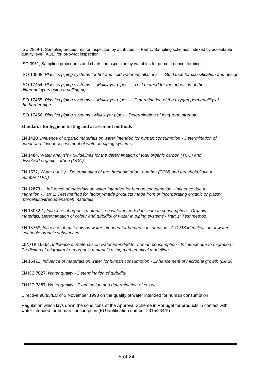ISO 2859-1, Sampling procedures for inspection by attributes — Part 1: Sampling schemes indexed by acceptable quality level (AQL) for lot-by-lot inspection

ISO 3951, Sampling procedures and charts for inspection by variables for percent nonconforming

ISO 10508, *Plastics piping systems for hot and cold water installations — Guidance for classification and design*

ISO 17454, *Plastics piping systems — Multilayer pipes — Test method for the adhesion of the different layers using a pulling rig*

ISO 17455, *Plastics piping systems — Multilayer pipes — Determination of the oxygen permeability of the barrier pipe*

ISO 17456, *Plastics piping systems - Multilayer pipes - Determination of long-term strength*

#### **Standards for hygiene testing and assessment methods**

EN 1420*, Influence of organic materials on water intended for human consumption - Determination of odour and flavour assessment of water in piping systems;*

EN 1484, *Water analysis - Guidelines for the determination of total organic carbon (TOC) and dissolved organic carbon (DOC);*

EN 1622, *Water quality - Determination of the threshold odour number (TON) and threshold flavour number (TFN)*

EN 12873-1, *Influence of materials on water intended for human consumption - Influence due to migration - Part 1: Test method for factory-made products made from or incorporating organic or glassy (porcelain/vitreous/enamel) materials*

EN 13052-1, *Influence of organic materials on water intended for human consumption - Organic materials; Determination of colour and turbidity of water in piping systems - Part 1: Test method*

EN 15768, *Influence of materials on water intended for human consumption - GC-MS identification of water leachable organic substances*

CEN/TR 16364, *Influence of materials on water intended for human consumption - Influence due to migration - Prediction of migration from organic materials using mathematical modelling*

EN 16421, *Influence of materials on water for human consumption - Enhancement of microbial growth (EMG)*

EN ISO 7027, *Water quality - Determination of turbidity*

EN ISO 7887, *Water quality - Examination and determination of colour*

Directive 98/83/EC of 3 November 1998 on the quality of water intended for human consumption

Regulation which lays down the conditions of the Approval Scheme in Portugal for products in contact with water intended for human consumption (EU Notification number 2015/234/P)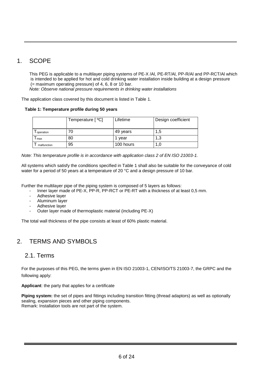# <span id="page-7-0"></span>1. SCOPE

This PEG is applicable to a multilayer piping systems of PE-X /Al, PE-RT/Al, PP-R/Al and PP-RCT/Al which is intended to be applied for hot and cold drinking water installation inside building at a design pressure (= maximum operating pressure) of 4, 6, 8 or 10 bar.

*Note: Observe national pressure requirements in drinking water installations*

The application class covered by this document is listed in Table 1.

### **Table 1: Temperature profile during 50 years**

|             | Temperature [ °C] | Lifetime  | Design coefficient |
|-------------|-------------------|-----------|--------------------|
| operation   |                   | 49 years  | 1,5                |
| max         | 80                | vear      | 1,3                |
| malfunction | 95                | 100 hours | 1.U                |

*Note: This temperature profile is in accordance with application class 2 of EN ISO 21003-1.*

All systems which satisfy the conditions specified in Table 1 shall also be suitable for the conveyance of cold water for a period of 50 years at a temperature of 20 °C and a design pressure of 10 bar.

Further the multilayer pipe of the piping system is composed of 5 layers as follows:

- Inner layer made of PE-X, PP-R, PP-RCT or PE-RT with a thickness of at least 0,5 mm.
- Adhesive layer
- Aluminum layer
- Adhesive laver
- Outer layer made of thermoplastic material (including PE-X)

The total wall thickness of the pipe consists at least of 60% plastic material.

# <span id="page-7-1"></span>2. TERMS AND SYMBOLS

### <span id="page-7-2"></span>2.1. Terms

For the purposes of this PEG, the terms given in EN ISO 21003-1, CEN/ISO/TS 21003-7, the GRPC and the following apply:

**Applicant**: the party that applies for a certificate

**Piping system:** the set of pipes and fittings including transition fitting (thread adaptors) as well as optionally sealing, expansion pieces and other piping components. Remark: Installation tools are not part of the system.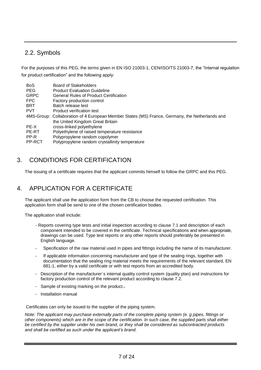# <span id="page-8-0"></span>2.2. Symbols

For the purposes of this PEG, the terms given in EN ISO 21003-1, CEN/ISO/TS 21003-7, the "Internal regulation for product certification" and the following apply:

| <b>BoS</b>  | <b>Board of Stakeholders</b>                                                                   |
|-------------|------------------------------------------------------------------------------------------------|
| <b>PEG</b>  | <b>Product Evaluation Guideline</b>                                                            |
| <b>GRPC</b> | General Rules of Product Certification                                                         |
| FPC         | Factory production control                                                                     |
| <b>BRT</b>  | Batch release test                                                                             |
| <b>PVT</b>  | Product verification test                                                                      |
|             | 4MS-Group: Collaboration of 4 European Member States (MS) France, Germany, the Netherlands and |
|             | the United Kingdom Great Britain                                                               |
| PE-X        | cross-linked polyethylene                                                                      |
| PE-RT       | Polyethylene of raised temperature resistance                                                  |
| PP-R        | Polypropylene random copolymer                                                                 |
| PP-RCT      | Polypropylene random crystallinity temperature                                                 |
|             |                                                                                                |

# <span id="page-8-1"></span>3. CONDITIONS FOR CERTIFICATION

The issuing of a certificate requires that the applicant commits himself to follow the GRPC and this PEG.

# <span id="page-8-2"></span>4. APPLICATION FOR A CERTIFICATE

The applicant shall use the application form from the CB to choose the requested certification. This application form shall be send to one of the chosen certification bodies.

The application shall include:

- Reports covering type tests and initial inspection according to clause 7.1 and description of each component intended to be covered in the certificate. Technical specifications and when appropriate, drawings can be used. Type test reports or any other reports should preferably be presented in English language.
- Specification of the raw material used in pipes and fittings including the name of its manufacturer.
- If applicable information concerning manufacturer and type of the sealing rings, together with documentation that the sealing ring material meets the requirements of the relevant standard, EN 681-1, either by a valid certificate or with test reports from an accredited body.
- Description of the manufacturer´s internal quality control system (quality plan) and instructions for factory production control of the relevant product according to clause 7.2.
- Sample of existing marking on the product..
- Installation manual

Certificates can only be issued to the supplier of the piping system.

*Note: The applicant may purchase externally parts of the complete piping system (e. g pipes, fittings or other components) which are in the scope of the certification. In such case, the supplied parts shall either be certified by the supplier under his own brand, or they shall be considered as subcontracted products and shall be certified as such under the applicant's brand.*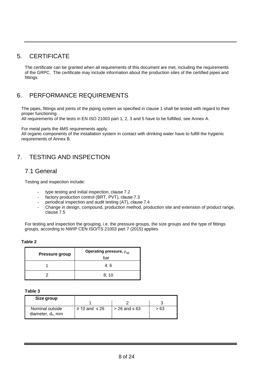# <span id="page-9-0"></span>5. CERTIFICATE

The certificate can be granted when all requirements of this document are met, including the requirements of the GRPC. The certificate may include information about the production sites of the certified pipes and fittings.

# <span id="page-9-1"></span>6. PERFORMANCE REQUIREMENTS

The pipes, fittings and joints of the piping system as specified in clause 1 shall be tested with regard to their proper functioning.

All requirements of the tests in EN ISO 21003 part 1, 2, 3 and 5 have to be fulfilled, see Annex A.

For metal parts the 4MS requirements apply.

All organic components of the installation system in contact with drinking water have to fulfill the hygienic requirements of Annex B.

# <span id="page-9-2"></span>7. TESTING AND INSPECTION

### <span id="page-9-3"></span>7.1 General

Testing and inspection include:

- type testing and initial inspection, clause 7.2
- factory production control (BRT, PVT), clause 7.3
- periodical inspection and audit testing (AT), clause 7.4
- Change in design, compound, production method, production site and extension of product range, clause 7.5

For testing and inspection the grouping, i.e. the pressure groups, the size groups and the type of fittings groups, according to NWIP CEN ISO/TS 21003 part 7 (2015) applies.

#### **Table 2**

| <b>Pressure group</b> | Operating pressure, $p_{op}$<br>bar |
|-----------------------|-------------------------------------|
|                       | 4:6                                 |
|                       | 8:10                                |

#### **Table 3**

| Size group                              |                         |                      |      |
|-----------------------------------------|-------------------------|----------------------|------|
|                                         |                         |                      |      |
| Nominal outside<br>diameter, $d_n$ , mm | $\geq$ 10 and $\leq$ 26 | $>$ 26 and $\leq$ 63 | > 63 |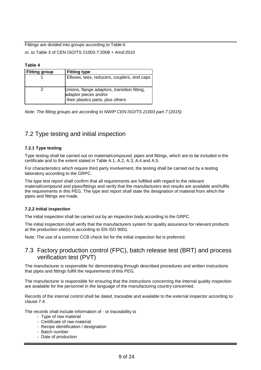Fittings are divided into groups according to Table 4.

or..to Table 3 of CEN ISO/TS 21003-7:2008 + Amd:2010

#### **Table 4**

| <b>Fitting group</b> | <b>Fitting type</b>                                                                                        |
|----------------------|------------------------------------------------------------------------------------------------------------|
|                      | Elbows, tees, reducers, couplers, end caps                                                                 |
|                      | Unions, flange adaptors, transition fitting,<br>adaptor pieces and/or<br>their plastics parts, plus others |

*Note: The fitting groups are according to NWIP CEN ISO/TS 21003 part 7 (2015).*

### <span id="page-10-0"></span>7.2 Type testing and initial inspection

### **7.2.1 Type testing**

Type testing shall be carried out on material/compound, pipes and fittings, which are to be included in the certificate and to the extent stated in Table A.1, A.2, A.3, A.4 and A.5.

For characteristics which require third party involvement, the testing shall be carried out by a testing laboratory according to the GRPC.

The type test report shall confirm that all requirements are fulfilled with regard to the relevant material/compound and pipes/fittings and verify that the manufacturers test results are available and fulfils the requirements in this PEG. The type test report shall state the designation of material from which the pipes and fittings are made.

#### **7.2.2 Initial inspection**

The initial inspection shall be carried out by an inspection body according to the GRPC.

The initial inspection shall verify that the manufacturers system for quality assurance for relevant products at the production site(s) is according to EN ISO 9001.

Note: The use of a common CCB check list for the initial inspection list is preferred.

### <span id="page-10-1"></span>7.3 Factory production control (FPC), batch release test (BRT) and process verification test (PVT)

The manufacturer is responsible for demonstrating through described procedures and written instructions that pipes and fittings fulfill the requirements of this PEG.

The manufacturer is responsible for ensuring that the instructions concerning the internal quality inspection are available for the personnel in the language of the manufacturing country concerned.

Records of the internal control shall be dated, traceable and available to the external inspector according to clause 7.4.

The records shall include information of - or traceability to

- Type of raw material
- Certificate of raw material
- Recipe identification / designation
- Batch number
- Date of production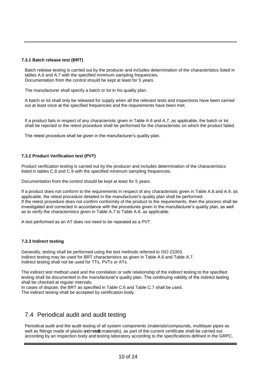### **7.3.1 Batch release test (BRT)**

Batch release testing is carried out by the producer and includes determination of the characteristics listed in tables A.6 and A.7 with the specified minimum sampling frequencies. Documentation from the control should be kept at least for 5 years.

The manufacturer shall specify a batch or lot in his quality plan.

A batch or lot shall only be released for supply when all the relevant tests and inspections have been carried out at least once at the specified frequencies and the requirements have been met.

If a product fails in respect of any characteristic given in Table A.6 and A.7, as applicable, the batch or lot shall be rejected or the retest procedure shall be performed for the characteristic on which the product failed.

The retest procedure shall be given in the manufacturer's quality plan.

### **7.3.2 Product Verification test (PVT)**

Product verification testing is carried out by the producer and includes determination of the characteristics listed in tables C.8 and C.9 with the specified minimum sampling frequencies.

Documentation from the control should be kept at least for 5 years.

If a product does not conform to the requirements in respect of any characteristic given in Table A.8 and A.9, as applicable, the retest procedure detailed in the manufacturer's quality plan shall be performed. If the retest procedure does not confirm conformity of the product to the requirements, then the process shall be investigated and corrected in accordance with the procedures given in the manufacturer's quality plan, as well as to verify the characteristics given in Table A.7 to Table A.8, as applicable.

A test performed as an AT does not need to be repeated as a PVT.

#### **7.3.3 Indirect testing**

Generally, testing shall be performed using the test methods referred to ISO 21003. Indirect testing may be used for BRT characteristics as given in Table A.6 and Table A.7. Indirect testing shall not be used for TTs, PVTs or ATs.

The indirect test method used and the correlation or safe relationship of the indirect testing to the specified testing shall be documented in the manufacturer's quality plan. The continuing validity of the indirect testing shall be checked at regular intervals.

In cases of dispute, the BRT as specified in Table C.6 and Table C.7 shall be used. The indirect testing shall be accepted by certification body.

# <span id="page-11-0"></span>7.4 Periodical audit and audit testing

Periodical audit and the audit testing of all system components (materials/compounds, multilayer pipes as well as fittings made of plastic and metallic materials), as part of the current certificate shall be carried out according by an inspection body and testing laboratory according to the specifications defined in the GRPC.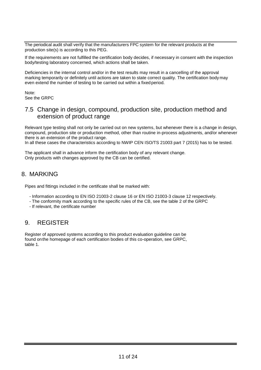The periodical audit shall verify that the manufacturers FPC system for the relevant products at the production site(s) is according to this PEG.

If the requirements are not fulfilled the certification body decides, if necessary in consent with the inspection body/testing laboratory concerned, which actions shall be taken.

Deficiencies in the internal control and/or in the test results may result in a cancelling of the approval marking temporarily or definitely until actions are taken to state correct quality. The certification bodymay even extend the number of testing to be carried out within a fixed period.

Note: See the GRPC

### <span id="page-12-0"></span>7.5 Change in design, compound, production site, production method and extension of product range

Relevant type testing shall not only be carried out on new systems, but whenever there is a change in design, compound, production site or production method, other than routine in-process adjustments, and/or whenever there is an extension of the product range.

In all these cases the characteristics according to NWIP CEN ISO/TS 21003 part 7 (2015) has to be tested.

The applicant shall in advance inform the certification body of any relevant change. Only products with changes approved by the CB can be certified.

# <span id="page-12-1"></span>8. MARKING

Pipes and fittings included in the certificate shall be marked with:

- Information according to EN ISO 21003-2 clause 16 or EN ISO 21003-3 clause 12 respectively.
- The conformity mark according to the specific rules of the CB, see the table 2 of the GRPC
- If relevant, the certificate number

### <span id="page-12-2"></span>9. REGISTER

Register of approved systems according to this product evaluation guideline can be found onthe homepage of each certification bodies of this co-operation, see GRPC, table 1.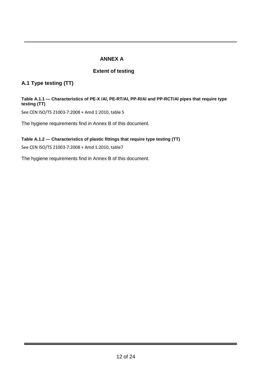### **ANNEX A**

### **Extent of testing**

### <span id="page-13-0"></span>**A.1 Type testing (TT)**

### **Table A.1.1 — Characteristics of PE-X /Al, PE-RT/Al, PP-R/Al and PP-RCT/Al pipes that require type testing (TT)**

See CEN ISO/TS 21003-7:2008 + Amd 1:2010, table 5

The hygiene requirements find in Annex B of this document.

### **Table A.1.2 — Characteristics of plastic fittings that require type testing (TT)**

See CEN ISO/TS 21003-7:2008 + Amd 1:2010, table7

The hygiene requirements find in Annex B of this document.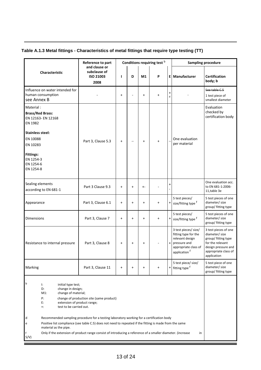### **Table A.1.3 Metal fittings - Characteristics of metal fittings that require type testing (TT)**

|                                                                                                                                                                                                                        | Reference to part                                                                                                                                                                                                                                                                                                                                             |           |           |           | Conditions requiring test b |           | <b>Sampling procedure</b>                                                                                                           |                                                                                                                                                 |
|------------------------------------------------------------------------------------------------------------------------------------------------------------------------------------------------------------------------|---------------------------------------------------------------------------------------------------------------------------------------------------------------------------------------------------------------------------------------------------------------------------------------------------------------------------------------------------------------|-----------|-----------|-----------|-----------------------------|-----------|-------------------------------------------------------------------------------------------------------------------------------------|-------------------------------------------------------------------------------------------------------------------------------------------------|
| Characteristic                                                                                                                                                                                                         | and clause or<br>subclause of<br><b>ISO 21003</b><br>2008                                                                                                                                                                                                                                                                                                     | L         | D         | M1        | P                           |           | <b>El Manufacturer</b>                                                                                                              | <b>Certification</b><br>body; b                                                                                                                 |
| Influence on water intended for<br>human consumption<br>see Annex B                                                                                                                                                    |                                                                                                                                                                                                                                                                                                                                                               | $\ddot{}$ |           | $\ddot{}$ | $\ddot{}$                   | +<br>d    |                                                                                                                                     | See table C.5<br>1 test piece of<br>smallest diameter                                                                                           |
| Material:<br><b>Brass/Red Brass:</b><br>EN 12163- EN 12168<br>EN 1982                                                                                                                                                  |                                                                                                                                                                                                                                                                                                                                                               |           |           |           |                             |           |                                                                                                                                     | Evaluation<br>checked by<br>certification body                                                                                                  |
| <b>Stainless steel:</b><br>EN 10088<br>EN 10283<br><b>Fittings:</b><br>EN 1254-3<br>EN 1254-6<br>EN 1254-8                                                                                                             | Part 3, Clause 5.3                                                                                                                                                                                                                                                                                                                                            | $\ddot{}$ |           | $\ddot{}$ | $\ddot{}$                   |           | One evaluation<br>per material                                                                                                      |                                                                                                                                                 |
| Sealing elements<br>according to EN 681-1                                                                                                                                                                              | Part 3 Clause 9.3                                                                                                                                                                                                                                                                                                                                             | $\ddot{}$ | $\pmb{+}$ | $+ -$     |                             | +         |                                                                                                                                     | One evaluation acc.<br>to EN 681-1:2006-<br>11, table 3e                                                                                        |
| Appearance                                                                                                                                                                                                             | Part 3, Clause 6.1                                                                                                                                                                                                                                                                                                                                            | $\ddot{}$ | $\ddot{}$ | $\ddot{}$ | $\ddot{}$                   |           | 5 test pieces/<br>+ size/fitting type f                                                                                             | 5 test pieces of one<br>diameter/ size<br>group/ fitting type                                                                                   |
| <b>Dimensions</b>                                                                                                                                                                                                      | Part 3, Clause 7                                                                                                                                                                                                                                                                                                                                              | $\ddot{}$ | $\pmb{+}$ | $\ddot{}$ | $\ddot{}$                   |           | 5 test pieces/<br>+ size/fitting type f                                                                                             | 5 test pieces of one<br>diameter/ size<br>group/ fitting type                                                                                   |
| Resistance to internal pressure                                                                                                                                                                                        | Part 3, Clause 8                                                                                                                                                                                                                                                                                                                                              | $\ddot{}$ | $\ddot{}$ | $\ddot{}$ |                             | $\ddot{}$ | 3 test pieces/ size/<br>fitting type for the<br>relevant design<br>pressure and<br>appropriate class of<br>application <sup>†</sup> | 3 test pieces of one<br>diameter/ size<br>group/ fitting type<br>for the relevant<br>design pressure and<br>appropriate class of<br>application |
| Marking                                                                                                                                                                                                                | Part 3, Clause 11                                                                                                                                                                                                                                                                                                                                             | $\ddot{}$ | $\ddot{}$ | $\ddot{}$ | $\ddot{}$                   |           | 5 test piece/ size/<br><sup>+</sup> fitting type <sup>f</sup>                                                                       | 5 test piece of one<br>diameter/ size<br>group/ fitting type                                                                                    |
| b<br>Ŀ.<br>initial type test;<br>D:<br>change in design;<br>change of material;<br>$M1$ :<br>Р:<br>E:<br>extension of product range;<br>test to be carried out.<br>$\ddotsc$<br>d<br>е<br>material as the pipe.<br>S/V | change of production site (same product)<br>Recommended sampling procedure for a testing laboratory working for a certification body<br>Positive list compliance (see table C.5) does not need to repeated if the fitting is made from the same<br>Only if the extension of product range consist of introducing a reference of a smaller diameter. (increase |           |           |           |                             |           | in                                                                                                                                  |                                                                                                                                                 |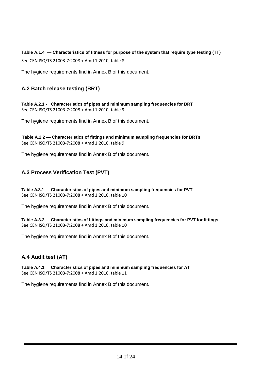**Table A.1.4 — Characteristics of fitness for purpose of the system that require type testing (TT)**

See CEN ISO/TS 21003-7:2008 + Amd 1:2010, table 8

The hygiene requirements find in Annex B of this document.

### **A.2 Batch release testing (BRT)**

**Table A.2.1 - Characteristics of pipes and minimum sampling frequencies for BRT** See CEN ISO/TS 21003-7:2008 + Amd 1:2010, table 9

The hygiene requirements find in Annex B of this document.

**Table A.2.2 — Characteristics of fittings and minimum sampling frequencies for BRTs**  See CEN ISO/TS 21003-7:2008 + Amd 1:2010, table 9

The hygiene requirements find in Annex B of this document.

### **A.3 Process Verification Test (PVT)**

**Table A.3.1 Characteristics of pipes and minimum sampling frequencies for PVT** See CEN ISO/TS 21003-7:2008 + Amd 1:2010, table 10

The hygiene requirements find in Annex B of this document.

**Table A.3.2 Characteristics of fittings and minimum sampling frequencies for PVT for fittings** See CEN ISO/TS 21003-7:2008 + Amd 1:2010, table 10

The hygiene requirements find in Annex B of this document.

### **A.4 Audit test (AT)**

**Table A.4.1 Characteristics of pipes and minimum sampling frequencies for AT** See CEN ISO/TS 21003-7:2008 + Amd 1:2010, table 11

The hygiene requirements find in Annex B of this document.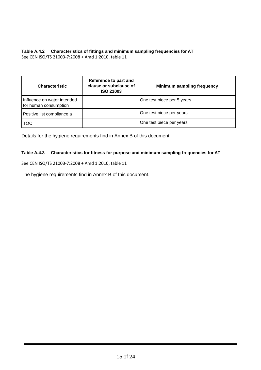### **Table A.4.2 Characteristics of fittings and minimum sampling frequencies for AT** See CEN ISO/TS 21003-7:2008 + Amd 1:2010, table 11

| <b>Characteristic</b>                                | Reference to part and<br>clause or subclause of<br><b>ISO 21003</b> | <b>Minimum sampling frequency</b> |  |  |
|------------------------------------------------------|---------------------------------------------------------------------|-----------------------------------|--|--|
| Influence on water intended<br>for human consumption |                                                                     | One test piece per 5 years        |  |  |
| Positive list compliance a                           |                                                                     | One test piece per years          |  |  |
| <b>TOC</b>                                           |                                                                     | One test piece per years          |  |  |

Details for the hygiene requirements find in Annex B of this document

### **Table A.4.3 Characteristics for fitness for purpose and minimum sampling frequencies for AT**

See CEN ISO/TS 21003-7:2008 + Amd 1:2010, table 11

The hygiene requirements find in Annex B of this document.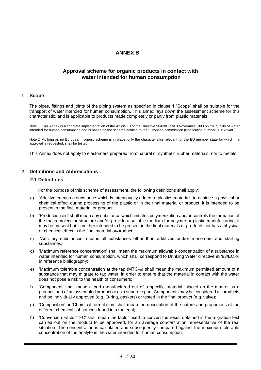### **ANNEX B**

### <span id="page-17-0"></span>**Approval scheme for organic products in contact with water intended for human consumption**

#### **1 Scope**

.

The pipes, fittings and joints of the piping system as specified in clause 1 "Scope" shall be suitable for the transport of water intended for human consumption. This annex lays down the assessment scheme for this characteristic, and is applicable to products made completely or partly from plastic materials.

Note 1: This Annex is a concrete implementation of the Article 10 of the Directive 98/83/EC of 3 November 1998 on the quality of water intended for human consumption and is based on the scheme notified to the European commission (Notification number 2015/234/P).

Note 2: As long as no European hygienic scheme is in place, only the characteristics relevant for the EU member state for which the approval is requested, shall be tested.

This Annex does not apply to elastomers prepared from natural or synthetic rubber materials, nor to metals.

### **2 Definitions and Abbreviations**

#### **2.1 Definitions**

For the purpose of this scheme of assessment, the following definitions shall apply:

- a) 'Additive' means a substance which is intentionally added to plastics materials to achieve a physical or chemical effect during processing of the plastic or in the final material or product; it is intended to be present in the final material or product;
- b) 'Production aid' shall mean any substance which initiates polymerization and/or controls the formation of the macromolecular structure and/or provide a suitable medium for polymer or plastic manufacturing; it may be present but is neither intended to be present in the final materials or products nor has a physical or chemical effect in the final material or product;
- c) 'Ancillary substances, means all substances other than additives and/or monomers and starting substances;
- d) 'Maximum reference concentration' shall mean the maximum allowable concentration of a substance in water intended for human consumption, which shall correspond to Drinking Water directive 98/83/EC or in reference bibliography;
- e) 'Maximum tolerable concentration at the tap (MTC<sub>tap</sub>) shall mean the maximum permitted amount of a substance that may migrate to tap water, in order to ensure that the material in contact with the water does not pose a risk to the health of consumers;
- f) 'Component' shall mean a part manufactured out of a specific material, placed on the market as a product, part of an assembled product or as a separate part. Components may be considered as products and be individually approved (e.g. O-ring, gaskets) or tested in the final product (e.g. valve);
- g) 'Composition' or 'Chemical formulation' shall mean the description of the nature and proportions of the different chemical substances found in a material;
- h) 'Conversion Factor' 'FC' shall mean the factor used to convert the result obtained in the migration test carried out on the product to be approved, for an average concentration representative of the real situation. The concentration is calculated and subsequently compared against the maximum tolerable concentration of the analyte in the water intended for human consumption;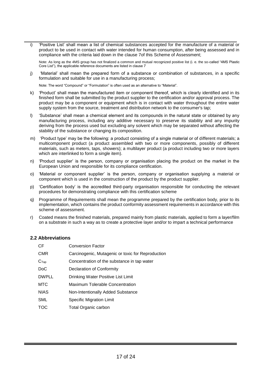i) 'Positive List' shall mean a list of chemical substances accepted for the manufacture of a material or product to be used in contact with water intended for human consumption, after being assessed and in compliance with the criteria laid down in the clause 7of this Scheme of Assessment;

Note: As long as the 4MS group has not finalized a common and mutual recognized positive list (i. e. the so-called "4MS Plastic Core List"), the applicable reference documents are listed in clause 7

j) 'Material' shall mean the prepared form of a substance or combination of substances, in a specific formulation and suitable for use in a manufacturing process;

Note: The word "Compound" or "Formulation" is often used as an alternative to "Material".

- k) 'Product' shall mean the manufactured item or component thereof, which is clearly identified and in its finished form shall be submitted by the product supplier to the certification and/or approval process. The product may be a component or equipment which is in contact with water throughout the entire water supply system from the source, treatment and distribution network to the consumer's tap;
- l) 'Substance' shall mean a chemical element and its compounds in the natural state or obtained by any manufacturing process, including any additive necessary to preserve its stability and any impurity deriving from the process used but excluding any solvent which may be separated without affecting the stability of the substance or changing its composition.
- m) 'Product type' may be the following: a product consisting of a single material or of different materials; a multicomponent product (a product assembled with two or more components, possibly of different materials, such as meters, taps, showers); a multilayer product (a product including two or more layers which are interlinked to form a single item).
- n) 'Product supplier' is the person, company or organisation placing the product on the market in the European Union and responsible for its compliance certification.
- o) 'Material or component supplier' is the person, company or organisation supplying a material or component which is used in the construction of the product by the product supplier.
- p) 'Certification body' is the accredited third-party organisation responsible for conducting the relevant procedures for demonstrating compliance with this certification scheme
- q) Programme of Requirements shall mean the programme prepared by the certification body, prior to its implementation, which contains the product conformity assessment requirements in accordance with this scheme of assessment.
- r) Coated means the finished materials, prepared mainly from plastic materials, applied to form a layer/film on a substrate in such a way as to create a protective layer and/or to impart a technical performance

### **2.2 Abbreviations**

| CF               | <b>Conversion Factor</b>                          |
|------------------|---------------------------------------------------|
| <b>CMR</b>       | Carcinogenic, Mutagenic or toxic for Reproduction |
| C <sub>Tap</sub> | Concentration of the substance in tap water       |
| D <sub>o</sub> C | Declaration of Conformity                         |
| <b>DWPLL</b>     | Drinking Water Positive List Limit                |
| <b>MTC</b>       | <b>Maximum Tolerable Concentration</b>            |
| <b>NIAS</b>      | Non-Intentionally Added Substance                 |
| <b>SML</b>       | Specific Migration Limit                          |
| TOC              | Total Organic carbon                              |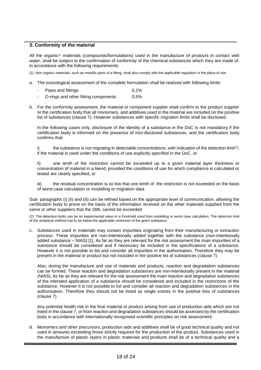### **3. Conformity of the material**

All the organic<sup>(1)</sup> materials (compounds/formulations) used in the manufacture of products in contact with water, shall be subject to the confirmation of conformity of the chemical substances which they are made of, in accordance with the following requirements:

(1): Non organic materials, such as metallic parts of a fitting, shall also comply with the applicable regulation in the place of use.

- a. The toxicological assessment of the complete formulation shall be realized with following limits:
	- Pipes and fittings 0,1%
	- O-rings and other fitting components 0,5%
- b. For the conformity assessment, the material or component supplier shall confirm to the product supplier or the certification body that all monomers, and additives used in the material are included on the positive list of substances (clause 7). However substances with specific migration limits shall be disclosed.

In the following cases only, disclosure of the identity of a substance in the DoC is not mandatory if the certification body is informed on the presence of non-disclosed substances, and the certification body confirms that:

i) the substance is not migrating in detectable concentrations, with indication of the detection limit<sup>(2)</sup>, if the material is used under the conditions of use explicitly specified in the DoC. or

ii) one tenth of the restriction cannot be exceeded up to a given material layer thickness or concentration of material in a blend, provided the conditions of use for which compliance is calculated or tested are clearly specified, or

iii) the residual concentration is so low that one tenth of the restriction is not exceeded on the basis of worst case calculation or modelling or migration data.

Sub- paragraphs (i) (ii) and (iii) can be refined based on the appropriate level of communication, allowing the certification body to prove on the basis of the information received on the other materials supplied from the same or other suppliers that the SML cannot be exceeded

(2): The detection limits can be an experimental value or a threshold used from modelling or worst case calculation. The detection limit of the analytical method has to be below the applicable restriction of the given substance

c. Substances used in materials may contain impurities originating from their manufacturing or extraction process. These impurities are non-intentionally added together with the substance (non-intentionally added substance – NIAS) [1]. As far as they are relevant for the risk assessment the main impurities of a substance should be considered and if necessary be included in the specifications of a substance. However it is not possible to list and consider all impurities in the authorisation. Therefore they may be present in the material or product but not included in the positive list of substances (clause 7)

Also, during the manufacture and use of materials and products, reaction and degradation substances can be formed. These reaction and degradation substances are non-intentionally present in the material (NIAS). As far as they are relevant for the risk assessment the main reaction and degradation substances of the intended application of a substance should be considered and included in the restrictions of the substance. However it is not possible to list and consider all reaction and degradation substances in the authorisation. Therefore they should not be listed as single entries in the positive lists of substances (clause 7).

Any potential health risk in the final material or product arising from use of production aids which are not listed in the clause 7, or from reaction and degradation substances should be assessed by the certification body in accordance with internationally recognised scientific principles on risk assessment.

d. Monomers and other precursors, production aids and additives shall be of good technical quality and not used in amounts exceeding those strictly required for the production of the product. Substances used in the manufacture of plastic layers in plastic materials and products shall be of a technical quality and a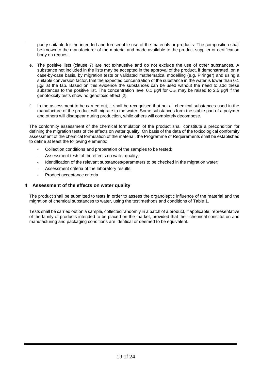purity suitable for the intended and foreseeable use of the materials or products. The composition shall be known to the manufacturer of the material and made available to the product supplier or certification body on request.

- e. The positive lists (clause 7) are not exhaustive and do not exclude the use of other substances. A substance not included in the lists may be accepted in the approval of the product, if demonstrated, on a case-by-case basis, by migration tests or validated mathematical modelling (e.g. Piringer) and using a suitable conversion factor, that the expected concentration of the substance in the water is lower than 0.1 µg/l at the tap. Based on this evidence the substances can be used without the need to add these substances to the positive list. The concentration level 0.1  $\mu$ g/l for C<sub>tap</sub> may be raised to 2.5  $\mu$ g/l if the genotoxicity tests show no genotoxic effect [2].
- f. In the assessment to be carried out, it shall be recognised that not all chemical substances used in the manufacture of the product will migrate to the water. Some substances form the stable part of a polymer and others will disappear during production, while others will completely decompose.

The conformity assessment of the chemical formulation of the product shall constitute a precondition for defining the migration tests of the effects on water quality. On basis of the data of the toxicological conformity assessment of the chemical formulation of the material, the Programme of Requirements shall be established to define at least the following elements:

- Collection conditions and preparation of the samples to be tested;
- Assessment tests of the effects on water quality;
- Identification of the relevant substances/parameters to be checked in the migration water;
- Assessment criteria of the laboratory results;
- Product acceptance criteria

#### **4 Assessment of the effects on water quality**

The product shall be submitted to tests in order to assess the organoleptic influence of the material and the migration of chemical substances to water, using the test methods and conditions of Table 1.

Tests shall be carried out on a sample, collected randomly in a batch of a product, if applicable, representative of the family of products intended to be placed on the market, provided that their chemical constitution and manufacturing and packaging conditions are identical or deemed to be equivalent.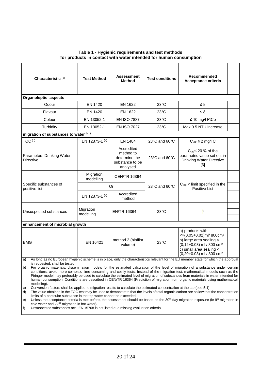#### **Table 1 - Hygienic requirements and test methods for products in contact with water intended for human consumption**

| Characteristic <sup>(a)</sup>                                                                                                                                                                                                                                                                                                                                                                                                                                                                                                                                                                                                                                                                                                                                                                                                                                                                                                                                                                                                                                                                                                                                                                                                                                                        | <b>Test Method</b>     | <b>Assessment</b><br><b>Method</b>                                      | <b>Test conditions</b> | Recommended<br>Acceptance criteria                                                                                                                                                                 |  |  |
|--------------------------------------------------------------------------------------------------------------------------------------------------------------------------------------------------------------------------------------------------------------------------------------------------------------------------------------------------------------------------------------------------------------------------------------------------------------------------------------------------------------------------------------------------------------------------------------------------------------------------------------------------------------------------------------------------------------------------------------------------------------------------------------------------------------------------------------------------------------------------------------------------------------------------------------------------------------------------------------------------------------------------------------------------------------------------------------------------------------------------------------------------------------------------------------------------------------------------------------------------------------------------------------|------------------------|-------------------------------------------------------------------------|------------------------|----------------------------------------------------------------------------------------------------------------------------------------------------------------------------------------------------|--|--|
| Organoleptic aspects                                                                                                                                                                                                                                                                                                                                                                                                                                                                                                                                                                                                                                                                                                                                                                                                                                                                                                                                                                                                                                                                                                                                                                                                                                                                 |                        |                                                                         |                        |                                                                                                                                                                                                    |  |  |
| Odour                                                                                                                                                                                                                                                                                                                                                                                                                                                                                                                                                                                                                                                                                                                                                                                                                                                                                                                                                                                                                                                                                                                                                                                                                                                                                | EN 1420                | EN 1622                                                                 | $23^{\circ}$ C         | $\leq 8$                                                                                                                                                                                           |  |  |
| Flavour                                                                                                                                                                                                                                                                                                                                                                                                                                                                                                                                                                                                                                                                                                                                                                                                                                                                                                                                                                                                                                                                                                                                                                                                                                                                              | EN 1420                | <b>EN 1622</b>                                                          | $23^{\circ}$ C         | $\leq 8$                                                                                                                                                                                           |  |  |
| Colour                                                                                                                                                                                                                                                                                                                                                                                                                                                                                                                                                                                                                                                                                                                                                                                                                                                                                                                                                                                                                                                                                                                                                                                                                                                                               | EN 13052-1             | <b>EN ISO 7887</b>                                                      | $23^{\circ}$ C         | $\leq 10$ mg/l PtCo                                                                                                                                                                                |  |  |
| Turbidity                                                                                                                                                                                                                                                                                                                                                                                                                                                                                                                                                                                                                                                                                                                                                                                                                                                                                                                                                                                                                                                                                                                                                                                                                                                                            | EN 13052-1             | <b>EN ISO 7027</b>                                                      | $23^{\circ}$ C         | Max 0.5 NTU increase                                                                                                                                                                               |  |  |
| migration of substances to water (b c)                                                                                                                                                                                                                                                                                                                                                                                                                                                                                                                                                                                                                                                                                                                                                                                                                                                                                                                                                                                                                                                                                                                                                                                                                                               |                        |                                                                         |                        |                                                                                                                                                                                                    |  |  |
| TOC <sup>(d)</sup>                                                                                                                                                                                                                                                                                                                                                                                                                                                                                                                                                                                                                                                                                                                                                                                                                                                                                                                                                                                                                                                                                                                                                                                                                                                                   | EN 12873-1 (e)         | EN 1484                                                                 | 23°C and 60°C          | $C_{\text{tap}} \leq 2$ mg/l C                                                                                                                                                                     |  |  |
| Parameters Drinking Water<br><b>Directive</b>                                                                                                                                                                                                                                                                                                                                                                                                                                                                                                                                                                                                                                                                                                                                                                                                                                                                                                                                                                                                                                                                                                                                                                                                                                        |                        | Accredited<br>method to<br>determine the<br>substance to be<br>analysed | 23°C and 60°C          | $C_{\text{tap}}$ 20 % of the<br>parametric value set out in<br><b>Drinking Water Directive</b><br>$[3]$                                                                                            |  |  |
|                                                                                                                                                                                                                                                                                                                                                                                                                                                                                                                                                                                                                                                                                                                                                                                                                                                                                                                                                                                                                                                                                                                                                                                                                                                                                      | Migration<br>modelling | <b>CEN/TR 16364</b>                                                     |                        |                                                                                                                                                                                                    |  |  |
| Specific substances of<br>positive list                                                                                                                                                                                                                                                                                                                                                                                                                                                                                                                                                                                                                                                                                                                                                                                                                                                                                                                                                                                                                                                                                                                                                                                                                                              | <b>Or</b>              |                                                                         | 23°C and 60°C          | $Ctap$ < limit specified in the<br>Positive List                                                                                                                                                   |  |  |
|                                                                                                                                                                                                                                                                                                                                                                                                                                                                                                                                                                                                                                                                                                                                                                                                                                                                                                                                                                                                                                                                                                                                                                                                                                                                                      | EN 12873-1 (e)         | Accredited<br>method                                                    |                        |                                                                                                                                                                                                    |  |  |
| Unsuspected substances                                                                                                                                                                                                                                                                                                                                                                                                                                                                                                                                                                                                                                                                                                                                                                                                                                                                                                                                                                                                                                                                                                                                                                                                                                                               | Migration<br>modelling | <b>EN/TR 16364</b>                                                      | $23^{\circ}$ C         | $($ f)                                                                                                                                                                                             |  |  |
| enhancement of microbial growth                                                                                                                                                                                                                                                                                                                                                                                                                                                                                                                                                                                                                                                                                                                                                                                                                                                                                                                                                                                                                                                                                                                                                                                                                                                      |                        |                                                                         |                        |                                                                                                                                                                                                    |  |  |
| <b>EMG</b>                                                                                                                                                                                                                                                                                                                                                                                                                                                                                                                                                                                                                                                                                                                                                                                                                                                                                                                                                                                                                                                                                                                                                                                                                                                                           | EN 16421               | method 2 (biofilm<br>volume)                                            | $23^{\circ}$ C         | a) products with<br><= (0,05+0,02) ml/800cm <sup>2</sup><br>b) large area sealing <<br>$(0,12+0.03)$ ml / 800 cm <sup>2</sup><br>c) small area sealing <<br>$(0,20+0.03)$ ml / 800 cm <sup>2</sup> |  |  |
| As long as no European hygienic scheme is in place, only the characteristics relevant for the EU member state for which the approval<br>a)<br>is requested, shall be tested.<br>b)<br>For organic materials, dissemination models for the estimated calculation of the level of migration of a substance under certain<br>conditions, avoid more complex, time consuming and costly tests. Instead of the migration test, mathematical models such as the<br>Piringer model may preferably be used to calculate the estimated level of migration of substances from materials in water intended for<br>human consumption. Conditions are described in CEN/TR 16364 (Prediction of migration from organic materials using mathematical<br>modelling).<br>Conversion factors shall be applied to migration results to calculate the estimated concentration at the tap (see 5.1)<br>C)<br>The value obtained in the TOC test may be used to demonstrate that the levels of total organic carbon are so low that the concentration<br>d)<br>limits of a particular substance in the tap water cannot be exceeded.<br>Unless the acceptance criteria is met before, the assessment should be based on the 30 <sup>th</sup> day migration exposure (ie 9 <sup>th</sup> migration in<br>e) |                        |                                                                         |                        |                                                                                                                                                                                                    |  |  |

f) Unsuspected substances acc. EN 15768 is not listed due missing evaluation criteria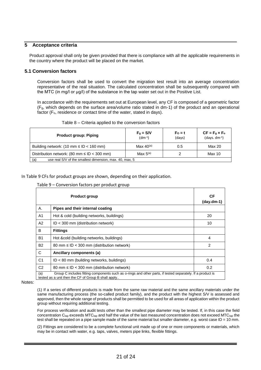### **5 Acceptance criteria**

Product approval shall only be given provided that there is compliance with all the applicable requirements in the country where the product will be placed on the market.

### **5.1 Conversion factors**

Conversion factors shall be used to convert the migration test result into an average concentration representative of the real situation. The calculated concentration shall be subsequently compared with the MTC (in mg/l or μg/l) of the substance in the tap water set out in the Positive List.

In accordance with the requirements set out at European level, any CF is composed of a geometric factor (Fg, which depends on the surface area/volume ratio stated in dm-1) of the product and an operational factor (F<sub>o</sub>, residence or contact time of the water, stated in days).

#### Table 8 – Criteria applied to the conversion factors

| <b>Product group: Piping</b>                                   | $F_q = S/V$<br>$(dm^{-1})$ | $FO = t$<br>(days) | $CF = Fg \times Fo$<br>$(days. dm-1)$ |  |  |
|----------------------------------------------------------------|----------------------------|--------------------|---------------------------------------|--|--|
| Building network: (10 mm $\leq$ ID $<$ 160 mm)                 | Max $40^{(a)}$             | 0.5                | Max 20                                |  |  |
| Distribution network: (80 mm $\leq$ ID $<$ 300 mm)             | Max $5^{(a)}$              |                    | <b>Max 10</b>                         |  |  |
| use real S/V of the smallest dimension, max. 40, max, 5<br>(a) |                            |                    |                                       |  |  |

<span id="page-22-0"></span>In [Table 9](#page-22-0) CFs for product groups are shown, depending on their application.

#### Table 9 – Conversion factors per product group

|                | <b>Product group</b>                                                                                                                                              | СF<br>$(day.dm-1)$ |
|----------------|-------------------------------------------------------------------------------------------------------------------------------------------------------------------|--------------------|
| А.             | Pipes and their internal coating                                                                                                                                  |                    |
| A1             | Hot & cold (building networks, buildings)                                                                                                                         | 20                 |
| A2             | $ID < 300$ mm (distribution network)                                                                                                                              | 10                 |
| В              | <b>Fittings</b>                                                                                                                                                   |                    |
| <b>B1</b>      | Hot & cold (building networks, buildings)                                                                                                                         | 4                  |
| <b>B2</b>      | 80 mm $\leq$ ID $<$ 300 mm (distribution network)                                                                                                                 | $\mathcal{P}$      |
| C              | Ancillary components (a)                                                                                                                                          |                    |
| C <sub>1</sub> | $ID < 80$ mm (building networks, buildings)                                                                                                                       | 0.4                |
| C <sub>2</sub> | 80 mm $\leq$ ID $<$ 300 mm (distribution network)                                                                                                                 | 0.2                |
| (a)            | Group C includes fitting components such as o-rings and other parts, if tested separately. If a product is<br>tested as a unit then the CF of Group B shall apply |                    |

Notes:

(1) If a series of different products is made from the same raw material and the same ancillary materials under the same manufacturing process (the so-called product family), and the product with the highest S/V is assessed and approved, then the whole range of products shall be permitted to be used for all areas of application within the product group without requiring additional testing.

For process verification and audit tests other than the smallest pipe diameter may be tested. If, in this case the field concentration  $C_{\text{tap}}$  exceeds MTC $_{\text{tap}}$  and half the value of the last measured concentration does not exceed MTC $_{\text{tap}}$  the test shall be repeated on a pipe sample made of the same material but smaller diameter, e.g. worst case  $ID = 10$  mm.

(2) Fittings are considered to be a complete functional unit made up of one or more components or materials, which may be in contact with water, e.g. taps, valves, meters pipe links, flexible fittings.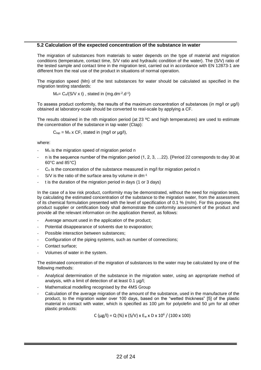#### **5.2 Calculation of the expected concentration of the substance in water**

The migration of substances from materials to water depends on the type of material and migration conditions (temperature, contact time, S/V ratio and hydraulic condition of the water). The (S/V) ratio of the tested sample and contact time in the migration test, carried out in accordance with EN 12873-1 are different from the real use of the product in situations of normal operation.

The migration speed (Mn) of the test substances for water should be calculated as specified in the migration testing standards:

 $M_n = C_n/(S/V \times t)$ , stated in (mg.dm $^{-2}$ .d $^{-1}$ )

To assess product conformity, the results of the maximum concentration of substances (in mg/l or μg/l) obtained at laboratory-scale should be converted to real-scale by applying a CF.

The results obtained in the nth migration period (at 23 ºC and high temperatures) are used to estimate the concentration of the substance in tap water (Ctap):

$$
C_{\text{tap}} = M_n \times CF
$$
, stated in (mg/l or µg/l),

where:

- $M<sub>n</sub>$  is the migration speed of migration period n
- n is the sequence number of the migration period (1, 2, 3, …22). (Period 22 corresponds to day 30 at 60°C and 85°C)
- $C_n$  is the concentration of the substance measured in mg/l for migration period n
- S/V is the ratio of the surface area by volume in dm<sup>-1</sup>
- t is the duration of the migration period in days (1 or 3 days)

In the case of a low risk product, conformity may be demonstrated, without the need for migration tests, by calculating the estimated concentration of the substance to the migration water, from the assessment of its chemical formulation presented with the level of specification of 0.1 % (m/m). For this purpose, the product supplier or certification body shall demonstrate the conformity assessment of the product and provide all the relevant information on the application thereof, as follows:

- Average amount used in the application of the product;
- Potential disappearance of solvents due to evaporation;
- Possible interaction between substances;
- Configuration of the piping systems, such as number of connections;
- Contact surface;
- Volumes of water in the system.

The estimated concentration of the migration of substances to the water may be calculated by one of the following methods:

- Analytical determination of the substance in the migration water, using an appropriate method of analysis, with a limit of detection of at least 0.1 µg/l;
- Mathematical modelling recognised by the 4MS Group
- Calculation of the average migration of the amount of the substance, used in the manufacture of the product, to the migration water over 100 days, based on the "wetted thickness" [5] of the plastic material in contact with water, which is specified as 100 um for polyolefin and 50 um for all other plastic products:

C ( $\mu$ g/l) = Q (%) x (S/V) x E<sub>w</sub> x D x 10<sup>6</sup> / (100 x 100)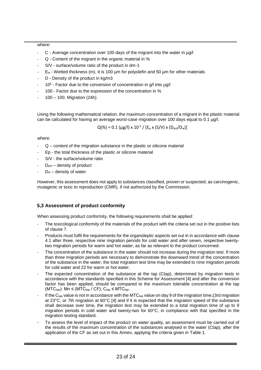#### where:

- C Average concentration over 100 days of the migrant into the water in µg/l
- Q Content of the migrant in the organic material in %
- S/V surface/volume ratio of the product in dm-1
- $E_w$  Wetted thickness (m). It is 100  $\mu$ m for polyolefin and 50  $\mu$ m for other materials
- D Density of the product in kg/m3
- 10<sup>6</sup> Factor due to the conversion of concentration in g/l into µg/l
- 100 Factor due to the expression of the concentration in %
- 100 100. Migration (24h)

Using the following mathematical relation, the maximum concentration of a migrant in the plastic material can be calculated for having an average worst-case migration over 100 days equal to 0.1 µg/l.

 $Q(\%) = 0.1 (\mu g/I) \times 10^{-2} / [E_p \times (S/V) \times (D_{\text{pol}}/D_w)]$ 

where:

- Q content of the migration substance in the plastic or silicone material
- Ep the total thickness of the plastic or silicone material
- S/V the surface/volume ratio
- $D_{pol}$  density of product
- $D_w$  density of water

However, this assessment does not apply to substances classified, proven or suspected, as carcinogenic, mutagenic or toxic to reproduction (CMR), if not authorized by the Commission.

### **5,3 Assessment of product conformity**

When assessing product conformity, the following requirements shall be applied:

- The toxicological conformity of the materials of the product with the criteria set out in the positive lists of clause 7.
- Products must fulfil the requirements for the organoleptic aspects set out in in accordance with clause 4.1 after three, respective nine migration periods for cold water and after seven, respective twentytwo migration periods for warm and hot water, as far as relevant to the product concerned.
- The concentration of the substance in the water should not increase during the migration test. If more than three migration periods are necessary to demonstrate the downward trend of the concentration of the substance in the water, the total migration test time may be extended to nine migration periods for cold water and 22 for warm or hot water.
- The expected concentration of the substance at the tap (Ctap), determined by migration tests in accordance with the standards specified in this Scheme for Assessment [4] and after the conversion factor has been applied, should be compared to the maximum tolerable concentration at the tap (MTC<sub>tap</sub>): Mn  $\leq$  (MTC<sub>tap</sub> / CF); C<sub>tap</sub>  $\leq$  MTC<sub>tap</sub>.
- If the Ctap value is not in accordance with the MTC $_{tap}$  value on day 9 of the migration time,(3rd migration at 23°C, or 7th migration at 60°C [4] and if it is expected that the migration speed of the substance shall decrease over time, the migration test may be extended to a total migration time of up to 9 migration periods in cold water and twenty-two for 60°C, in compliance with that specified in the migration testing standard.
- To assess the level of impact of the product on water quality, an assessment must be carried out of the results of the maximum concentration of the substances analysed in the water (Ctap), after the application of the CF as set out in this Annex, applying the criteria given in Table 1.